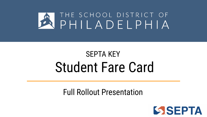

# SEPTA KEY Student Fare Card

#### Full Rollout Presentation

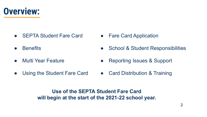**Overview:**

- SEPTA Student Fare Card
- Benefits
- Multi Year Feature
- Fare Card Application
- School & Student Responsibilities
- Reporting Issues & Support
- Using the Student Fare Card • Card Distribution & Training

**Use of the SEPTA Student Fare Card will begin at the start of the 2021-22 school year.**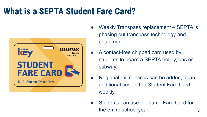### **What is a SEPTA Student Fare Card?**



- Weekly Transpass replacement SEPTA is phasing out transpass technology and equipment.
- A contact-free chipped card used by students to board a SEPTA trolley, bus or subway.
- Regional rail services can be added, at an additional cost to the Student Fare Card weekly.
- Students can use the same Fare Card for the entire school year. The same state of  $\sim$  3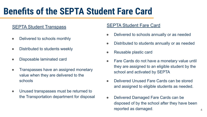### **Benefits of the SEPTA Student Fare Card**

#### **SEPTA Student Transpass**

- Delivered to schools monthly
- Distributed to students weekly
- Disposable laminated card
- Transpasses have an assigned monetary value when they are delivered to the schools
- Unused transpasses must be returned to the Transportation department for disposal

#### SEPTA Student Fare Card

- Delivered to schools annually or as needed
- Distributed to students annually or as needed
- Reusable plastic card
- Fare Cards do not have a monetary value until they are assigned to an eligible student by the school and activated by SEPTA
- Delivered Unused Fare Cards can be stored and assigned to eligible students as needed.
- Delivered Damaged Fare Cards can be disposed of by the school after they have been reported as damaged.  $\blacksquare$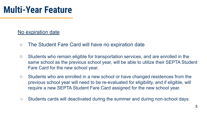#### No expiration date

- The Student Fare Card will have no expiration date
- Students who remain eligible for transportation services, and are enrolled in the same school as the previous school year, will be able to utilize their SEPTA Student Fare Card for the new school year.
- Students who are enrolled in a new school or have changed residences from the previous school year will need to be re-evaluated for eligibility, and if eligible, will require a new SEPTA Student Fare Card assigned for the new school year.
- Students cards will deactivated during the summer and during non-school days.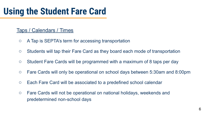#### Taps / Calendars / Times

- A Tap is SEPTA's term for accessing transportation
- Students will tap their Fare Card as they board each mode of transportation
- Student Fare Cards will be programmed with a maximum of 8 taps per day
- Fare Cards will only be operational on school days between 5:30am and 8:00pm
- Each Fare Card will be associated to a predefined school calendar
- Fare Cards will not be operational on national holidays, weekends and predetermined non-school days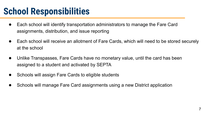### **School Responsibilities**

- Each school will identify transportation administrators to manage the Fare Card assignments, distribution, and issue reporting
- Each school will receive an allotment of Fare Cards, which will need to be stored securely at the school
- Unlike Transpasses, Fare Cards have no monetary value, until the card has been assigned to a student and activated by SEPTA
- Schools will assign Fare Cards to eligible students
- Schools will manage Fare Card assignments using a new District application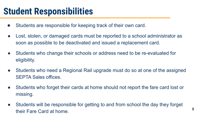#### **Student Responsibilities**

- Students are responsible for keeping track of their own card.
- Lost, stolen, or damaged cards must be reported to a school administrator as soon as possible to be deactivated and issued a replacement card.
- Students who change their schools or address need to be re-evaluated for eligibility.
- Students who need a Regional Rail upgrade must do so at one of the assigned SEPTA Sales offices.
- Students who forget their cards at home should not report the fare card lost or missing.
- Students will be responsible for getting to and from school the day they forget their Fare Card at home. 8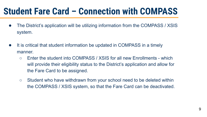#### **Student Fare Card – Connection with COMPASS**

- The District's application will be utilizing information from the COMPASS / XSIS system.
- It is critical that student information be updated in COMPASS in a timely manner.
	- Enter the student into COMPASS / XSIS for all new Enrollments which will provide their eligibility status to the District's application and allow for the Fare Card to be assigned.
	- Student who have withdrawn from your school need to be deleted within the COMPASS / XSIS system, so that the Fare Card can be deactivated.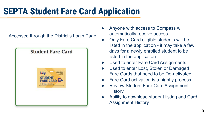## **SEPTA Student Fare Card Application**

Accessed through the District's Login Page



- Anyone with access to Compass will automatically receive access.
- Only Fare Card eligible students will be listed in the application - it may take a few days for a newly enrolled student to be listed in the application
- Used to enter Fare Card Assignments
- Used to enter Lost, Stolen or Damaged Fare Cards that need to be De-activated
- Fare Card activation is a nightly process.
- **Review Student Fare Card Assignment History**
- Ability to download student listing and Card Assignment History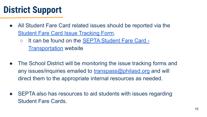### **District Support**

- All Student Fare Card related issues should be reported via the [Student Fare Card Issue Tracking Form](https://forms.gle/QHS4NUEvrbKCD2Cu9).
	- It can be found on the **SEPTA Student Fare Card** -**[Transportation](https://www.philasd.org/transportation/septastudentfarecard/)** website
- The School District will be monitoring the issue tracking forms and any issues/inquiries emailed to  $transpass@philasd.org$  and will direct them to the appropriate internal resources as needed.
- SEPTA also has resources to aid students with issues regarding Student Fare Cards.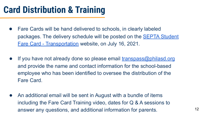#### **Card Distribution & Training**

- Fare Cards will be hand delivered to schools, in clearly labeled packages. The delivery schedule will be posted on the [SEPTA Student](https://www.philasd.org/transportation/septastudentfarecard/) [Fare Card - Transportation](https://www.philasd.org/transportation/septastudentfarecard/) website, on July 16, 2021.
- If you have not already done so please email [transpass@philasd.org](mailto:transpass@philasd.org) and provide the name and contact information for the school-based employee who has been identified to oversee the distribution of the Fare Card.
- An additional email will be sent in August with a bundle of items including the Fare Card Training video, dates for Q & A sessions to answer any questions, and additional information for parents.